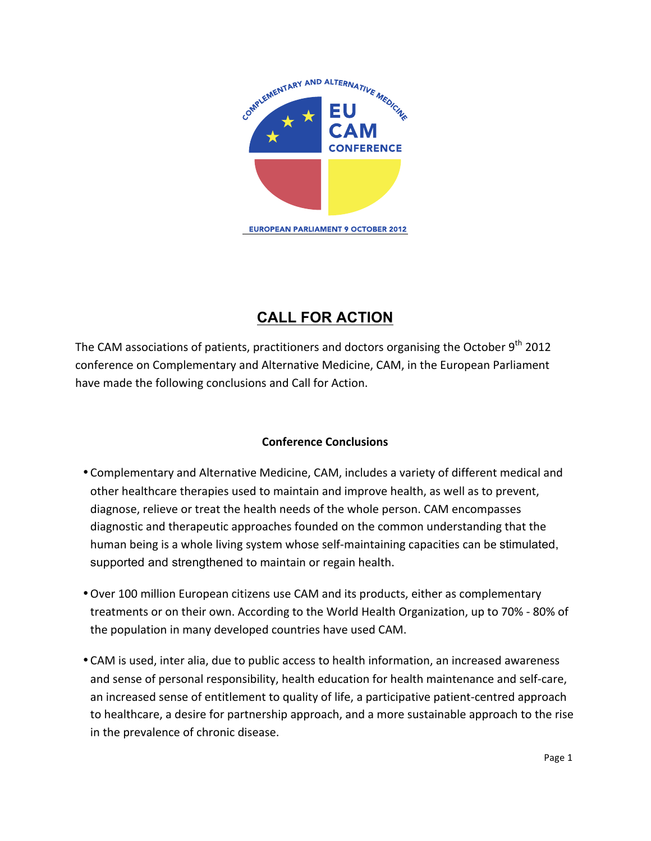

## **CALL FOR ACTION**

The CAM associations of patients, practitioners and doctors organising the October 9<sup>th</sup> 2012 conference on Complementary and Alternative Medicine, CAM, in the European Parliament have made the following conclusions and Call for Action.

## **Conference Conclusions**

- Complementary and Alternative Medicine, CAM, includes a variety of different medical and other healthcare therapies used to maintain and improve health, as well as to prevent, diagnose, relieve or treat the health needs of the whole person. CAM encompasses diagnostic and therapeutic approaches founded on the common understanding that the human being is a whole living system whose self-maintaining capacities can be stimulated, supported and strengthened to maintain or regain health.
- Over 100 million European citizens use CAM and its products, either as complementary treatments or on their own. According to the World Health Organization, up to 70% - 80% of the population in many developed countries have used CAM.
- CAM is used, inter alia, due to public access to health information, an increased awareness and sense of personal responsibility, health education for health maintenance and self-care, an increased sense of entitlement to quality of life, a participative patient-centred approach to healthcare, a desire for partnership approach, and a more sustainable approach to the rise in the prevalence of chronic disease.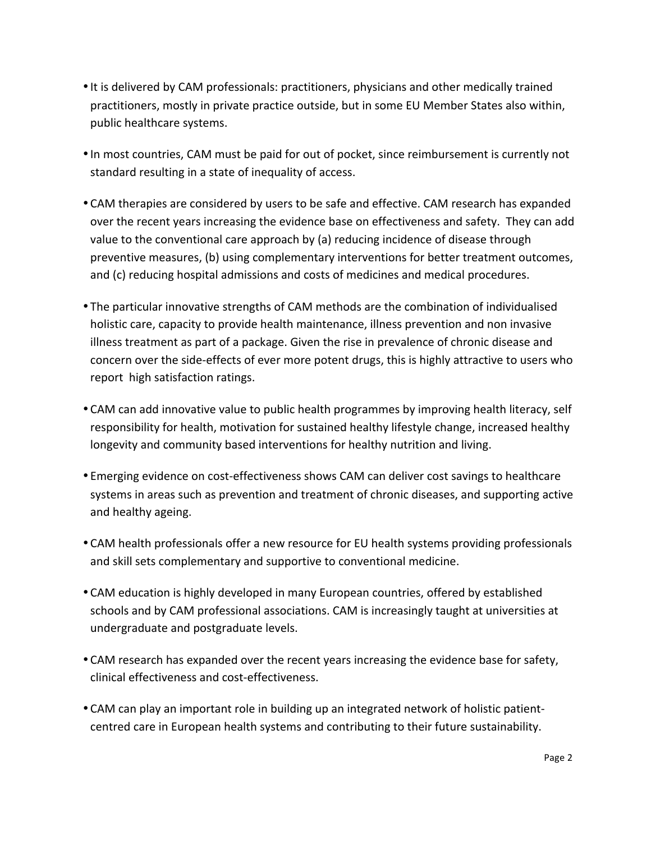- It is delivered by CAM professionals: practitioners, physicians and other medically trained practitioners, mostly in private practice outside, but in some EU Member States also within, public healthcare systems.
- In most countries, CAM must be paid for out of pocket, since reimbursement is currently not standard resulting in a state of inequality of access.
- CAM therapies are considered by users to be safe and effective. CAM research has expanded over the recent years increasing the evidence base on effectiveness and safety. They can add value to the conventional care approach by (a) reducing incidence of disease through preventive measures, (b) using complementary interventions for better treatment outcomes, and (c) reducing hospital admissions and costs of medicines and medical procedures.
- The particular innovative strengths of CAM methods are the combination of individualised holistic care, capacity to provide health maintenance, illness prevention and non invasive illness treatment as part of a package. Given the rise in prevalence of chronic disease and concern over the side-effects of ever more potent drugs, this is highly attractive to users who report high satisfaction ratings.
- CAM can add innovative value to public health programmes by improving health literacy, self responsibility for health, motivation for sustained healthy lifestyle change, increased healthy longevity and community based interventions for healthy nutrition and living.
- Emerging evidence on cost-effectiveness shows CAM can deliver cost savings to healthcare systems in areas such as prevention and treatment of chronic diseases, and supporting active and healthy ageing.
- CAM health professionals offer a new resource for EU health systems providing professionals and skill sets complementary and supportive to conventional medicine.
- CAM education is highly developed in many European countries, offered by established schools and by CAM professional associations. CAM is increasingly taught at universities at undergraduate and postgraduate levels.
- CAM research has expanded over the recent years increasing the evidence base for safety, clinical effectiveness and cost-effectiveness.
- CAM can play an important role in building up an integrated network of holistic patientcentred care in European health systems and contributing to their future sustainability.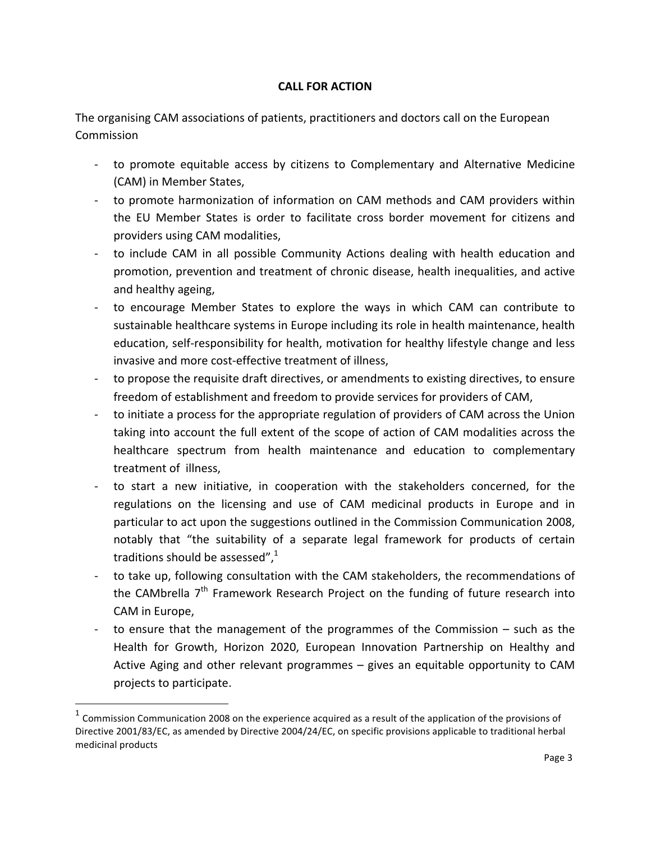## **CALL FOR ACTION**

The organising CAM associations of patients, practitioners and doctors call on the European Commission

- to promote equitable access by citizens to Complementary and Alternative Medicine (CAM) in Member States,
- to promote harmonization of information on CAM methods and CAM providers within the EU Member States is order to facilitate cross border movement for citizens and providers using CAM modalities,
- to include CAM in all possible Community Actions dealing with health education and promotion, prevention and treatment of chronic disease, health inequalities, and active and healthy ageing,
- to encourage Member States to explore the ways in which CAM can contribute to sustainable healthcare systems in Europe including its role in health maintenance, health education, self-responsibility for health, motivation for healthy lifestyle change and less invasive and more cost-effective treatment of illness,
- to propose the requisite draft directives, or amendments to existing directives, to ensure freedom of establishment and freedom to provide services for providers of CAM,
- to initiate a process for the appropriate regulation of providers of CAM across the Union taking into account the full extent of the scope of action of CAM modalities across the healthcare spectrum from health maintenance and education to complementary treatment of illness,
- to start a new initiative, in cooperation with the stakeholders concerned, for the regulations on the licensing and use of CAM medicinal products in Europe and in particular to act upon the suggestions outlined in the Commission Communication 2008, notably that "the suitability of a separate legal framework for products of certain traditions should be assessed",<sup>1</sup>
- to take up, following consultation with the CAM stakeholders, the recommendations of the CAMbrella  $7<sup>th</sup>$  Framework Research Project on the funding of future research into CAM in Europe,
- to ensure that the management of the programmes of the Commission  $-$  such as the Health for Growth, Horizon 2020, European Innovation Partnership on Healthy and Active Aging and other relevant programmes  $-$  gives an equitable opportunity to CAM projects to participate.

<u> 1989 - Johann Stein, fransk politik (d. 1989)</u>

 $1$  Commission Communication 2008 on the experience acquired as a result of the application of the provisions of Directive 2001/83/EC, as amended by Directive 2004/24/EC, on specific provisions applicable to traditional herbal medicinal products